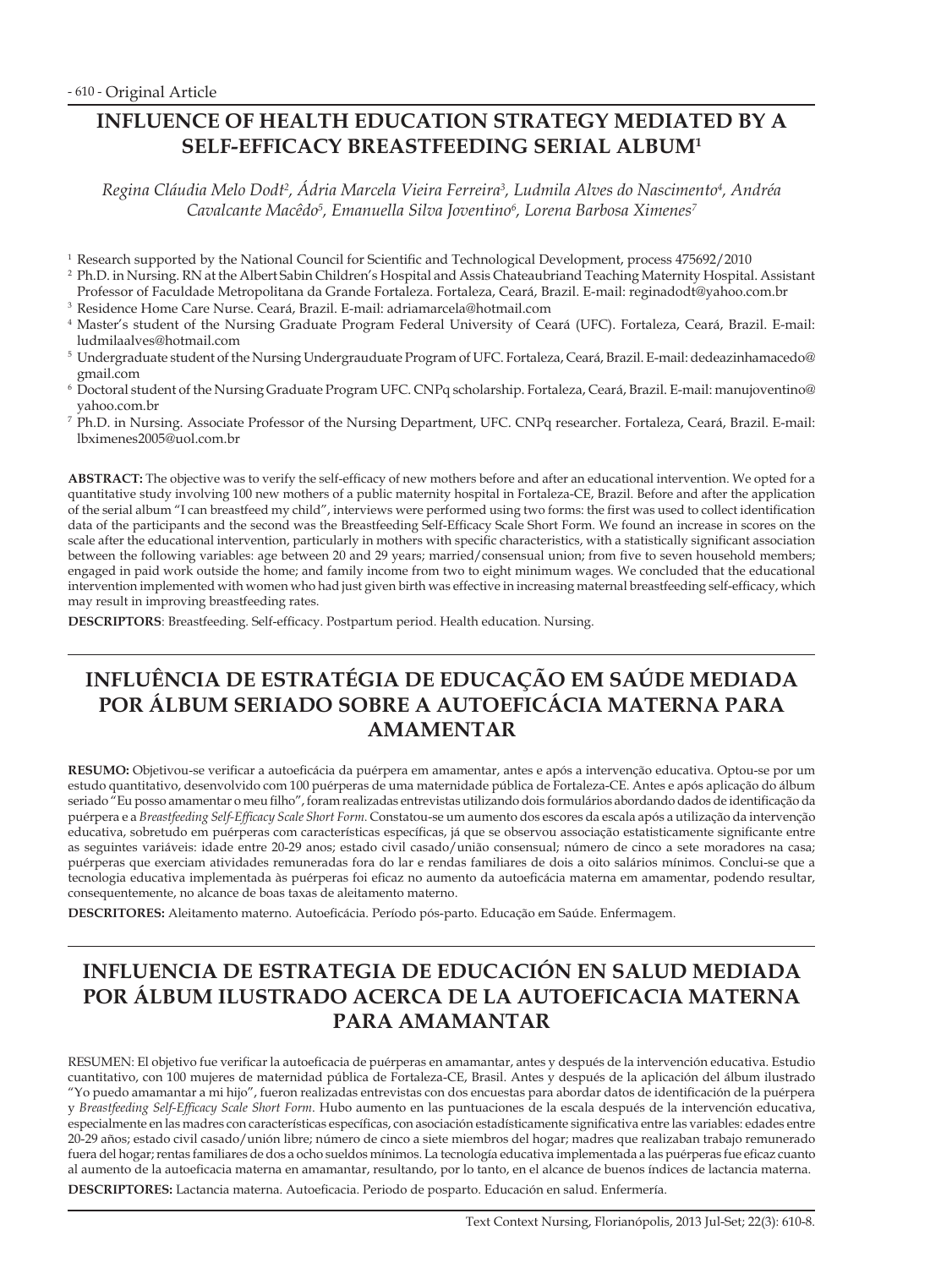# **INFLUENCE OF HEALTH EDUCATION STRATEGY MEDIATED BY A SELF-EFFICACY BREASTFEEDING SERIAL ALBUM1**

*Regina Cláudia Melo Dodt2 , Ádria Marcela Vieira Ferreira3 , Ludmila Alves do Nascimento4 , Andréa Cavalcante Macêdo5 , Emanuella Silva Joventino6 , Lorena Barbosa Ximenes7*

- <sup>1</sup> Research supported by the National Council for Scientific and Technological Development, process 475692/2010
- <sup>2</sup> Ph.D. in Nursing. RN at the Albert Sabin Children's Hospital and Assis Chateaubriand Teaching Maternity Hospital. Assistant Professor of Faculdade Metropolitana da Grande Fortaleza. Fortaleza, Ceará, Brazil. E-mail: reginadodt@yahoo.com.br
- <sup>3</sup> Residence Home Care Nurse. Ceará, Brazil. E-mail: adriamarcela@hotmail.com
- <sup>4</sup> Master's student of the Nursing Graduate Program Federal University of Ceará (UFC). Fortaleza, Ceará, Brazil. E-mail: ludmilaalves@hotmail.com
- <sup>5</sup> Undergraduate student of the Nursing Undergrauduate Program of UFC. Fortaleza, Ceará, Brazil. E-mail: dedeazinhamacedo@ gmail.com
- <sup>6</sup> Doctoral student of the Nursing Graduate Program UFC. CNPq scholarship. Fortaleza, Ceará, Brazil. E-mail: manujoventino@ yahoo.com.br
- <sup>7</sup> Ph.D. in Nursing. Associate Professor of the Nursing Department, UFC. CNPq researcher. Fortaleza, Ceará, Brazil. E-mail: lbximenes2005@uol.com.br

**ABSTRACT:** The objective was to verify the self-efficacy of new mothers before and after an educational intervention. We opted for a quantitative study involving 100 new mothers of a public maternity hospital in Fortaleza-CE, Brazil. Before and after the application of the serial album "I can breastfeed my child", interviews were performed using two forms: the first was used to collect identification data of the participants and the second was the Breastfeeding Self-Efficacy Scale Short Form. We found an increase in scores on the scale after the educational intervention, particularly in mothers with specific characteristics, with a statistically significant association between the following variables: age between 20 and 29 years; married/consensual union; from five to seven household members; engaged in paid work outside the home; and family income from two to eight minimum wages. We concluded that the educational intervention implemented with women who had just given birth was effective in increasing maternal breastfeeding self-efficacy, which may result in improving breastfeeding rates.

**DESCRIPTORS**: Breastfeeding. Self-efficacy. Postpartum period. Health education. Nursing.

# **INFLUÊNCIA DE ESTRATÉGIA DE EDUCAÇÃO EM SAÚDE MEDIADA POR ÁLBUM SERIADO SOBRE A AUTOEFICÁCIA MATERNA PARA AMAMENTAR**

**RESUMO:** Objetivou-se verificar a autoeficácia da puérpera em amamentar, antes e após a intervenção educativa. Optou-se por um estudo quantitativo, desenvolvido com 100 puérperas de uma maternidade pública de Fortaleza-CE. Antes e após aplicação do álbum seriado "Eu posso amamentar o meu filho", foram realizadas entrevistas utilizando dois formulários abordando dados de identificação da puérpera e a *Breastfeeding Self-Efficacy Scale Short Form*. Constatou-se um aumento dos escores da escala após a utilização da intervenção educativa, sobretudo em puérperas com características específicas, já que se observou associação estatisticamente significante entre as seguintes variáveis: idade entre 20-29 anos; estado civil casado/união consensual; número de cinco a sete moradores na casa; puérperas que exerciam atividades remuneradas fora do lar e rendas familiares de dois a oito salários mínimos. Conclui-se que a tecnologia educativa implementada às puérperas foi eficaz no aumento da autoeficácia materna em amamentar, podendo resultar, consequentemente, no alcance de boas taxas de aleitamento materno.

**DESCRITORES:** Aleitamento materno. Autoeficácia. Período pós-parto. Educação em Saúde. Enfermagem.

# **INFLUENCIA DE ESTRATEGIA DE EDUCACIÓN EN SALUD MEDIADA POR ÁLBUM ILUSTRADO ACERCA DE LA AUTOEFICACIA MATERNA PARA AMAMANTAR**

RESUMEN: El objetivo fue verificar la autoeficacia de puérperas en amamantar, antes y después de la intervención educativa. Estudio cuantitativo, con 100 mujeres de maternidad pública de Fortaleza-CE, Brasil. Antes y después de la aplicación del álbum ilustrado "Yo puedo amamantar a mi hijo", fueron realizadas entrevistas con dos encuestas para abordar datos de identificación de la puérpera y *Breastfeeding Self-Efficacy Scale Short Form*. Hubo aumento en las puntuaciones de la escala después de la intervención educativa, especialmente en las madres con características específicas, con asociación estadísticamente significativa entre las variables: edades entre 20-29 años; estado civil casado/unión libre; número de cinco a siete miembros del hogar; madres que realizaban trabajo remunerado fuera del hogar; rentas familiares de dos a ocho sueldos mínimos. La tecnología educativa implementada a las puérperas fue eficaz cuanto al aumento de la autoeficacia materna en amamantar, resultando, por lo tanto, en el alcance de buenos índices de lactancia materna. **DESCRIPTORES:** Lactancia materna. Autoeficacia. Periodo de posparto. Educación en salud. Enfermería.

Text Context Nursing, Florianópolis, 2013 Jul-Set; 22(3): 610-8.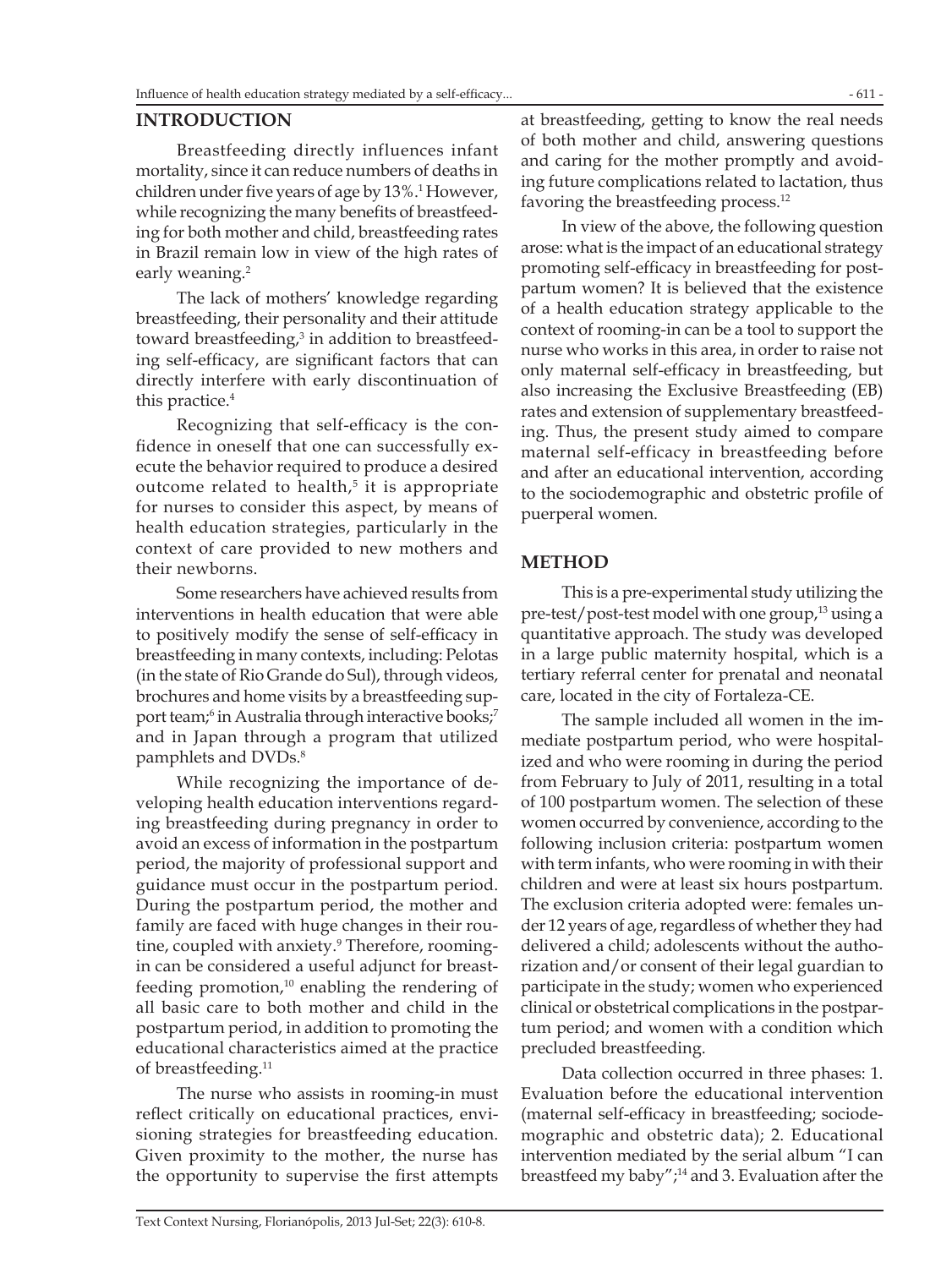#### **INTRODUCTION**

Breastfeeding directly influences infant mortality, since it can reduce numbers of deaths in children under five years of age by 13%.<sup>1</sup> However, while recognizing the many benefits of breastfeeding for both mother and child, breastfeeding rates in Brazil remain low in view of the high rates of early weaning.<sup>2</sup>

The lack of mothers' knowledge regarding breastfeeding, their personality and their attitude toward breastfeeding,<sup>3</sup> in addition to breastfeeding self-efficacy, are significant factors that can directly interfere with early discontinuation of this practice.<sup>4</sup>

Recognizing that self-efficacy is the confidence in oneself that one can successfully execute the behavior required to produce a desired outcome related to health,<sup>5</sup> it is appropriate for nurses to consider this aspect, by means of health education strategies, particularly in the context of care provided to new mothers and their newborns.

Some researchers have achieved results from interventions in health education that were able to positively modify the sense of self-efficacy in breastfeeding in many contexts, including: Pelotas (in the state of Rio Grande do Sul), through videos, brochures and home visits by a breastfeeding support team;<sup>6</sup> in Australia through interactive books;<sup>7</sup> and in Japan through a program that utilized pamphlets and DVDs.<sup>8</sup>

While recognizing the importance of developing health education interventions regarding breastfeeding during pregnancy in order to avoid an excess of information in the postpartum period, the majority of professional support and guidance must occur in the postpartum period. During the postpartum period, the mother and family are faced with huge changes in their routine, coupled with anxiety.<sup>9</sup> Therefore, roomingin can be considered a useful adjunct for breastfeeding promotion, $10$  enabling the rendering of all basic care to both mother and child in the postpartum period, in addition to promoting the educational characteristics aimed at the practice of breastfeeding.<sup>11</sup>

The nurse who assists in rooming-in must reflect critically on educational practices, envisioning strategies for breastfeeding education. Given proximity to the mother, the nurse has the opportunity to supervise the first attempts

at breastfeeding, getting to know the real needs of both mother and child, answering questions and caring for the mother promptly and avoiding future complications related to lactation, thus favoring the breastfeeding process.<sup>12</sup>

In view of the above, the following question arose: what is the impact of an educational strategy promoting self-efficacy in breastfeeding for postpartum women? It is believed that the existence of a health education strategy applicable to the context of rooming-in can be a tool to support the nurse who works in this area, in order to raise not only maternal self-efficacy in breastfeeding, but also increasing the Exclusive Breastfeeding (EB) rates and extension of supplementary breastfeeding. Thus, the present study aimed to compare maternal self-efficacy in breastfeeding before and after an educational intervention, according to the sociodemographic and obstetric profile of puerperal women.

#### **METHOD**

This is a pre-experimental study utilizing the pre-test/post-test model with one group,<sup>13</sup> using a quantitative approach. The study was developed in a large public maternity hospital, which is a tertiary referral center for prenatal and neonatal care, located in the city of Fortaleza-CE.

The sample included all women in the immediate postpartum period, who were hospitalized and who were rooming in during the period from February to July of 2011, resulting in a total of 100 postpartum women. The selection of these women occurred by convenience, according to the following inclusion criteria: postpartum women with term infants, who were rooming in with their children and were at least six hours postpartum. The exclusion criteria adopted were: females under 12 years of age, regardless of whether they had delivered a child; adolescents without the authorization and/or consent of their legal guardian to participate in the study; women who experienced clinical or obstetrical complications in the postpartum period; and women with a condition which precluded breastfeeding.

Data collection occurred in three phases: 1. Evaluation before the educational intervention (maternal self-efficacy in breastfeeding; sociodemographic and obstetric data); 2. Educational intervention mediated by the serial album "I can breastfeed my baby";14 and 3. Evaluation after the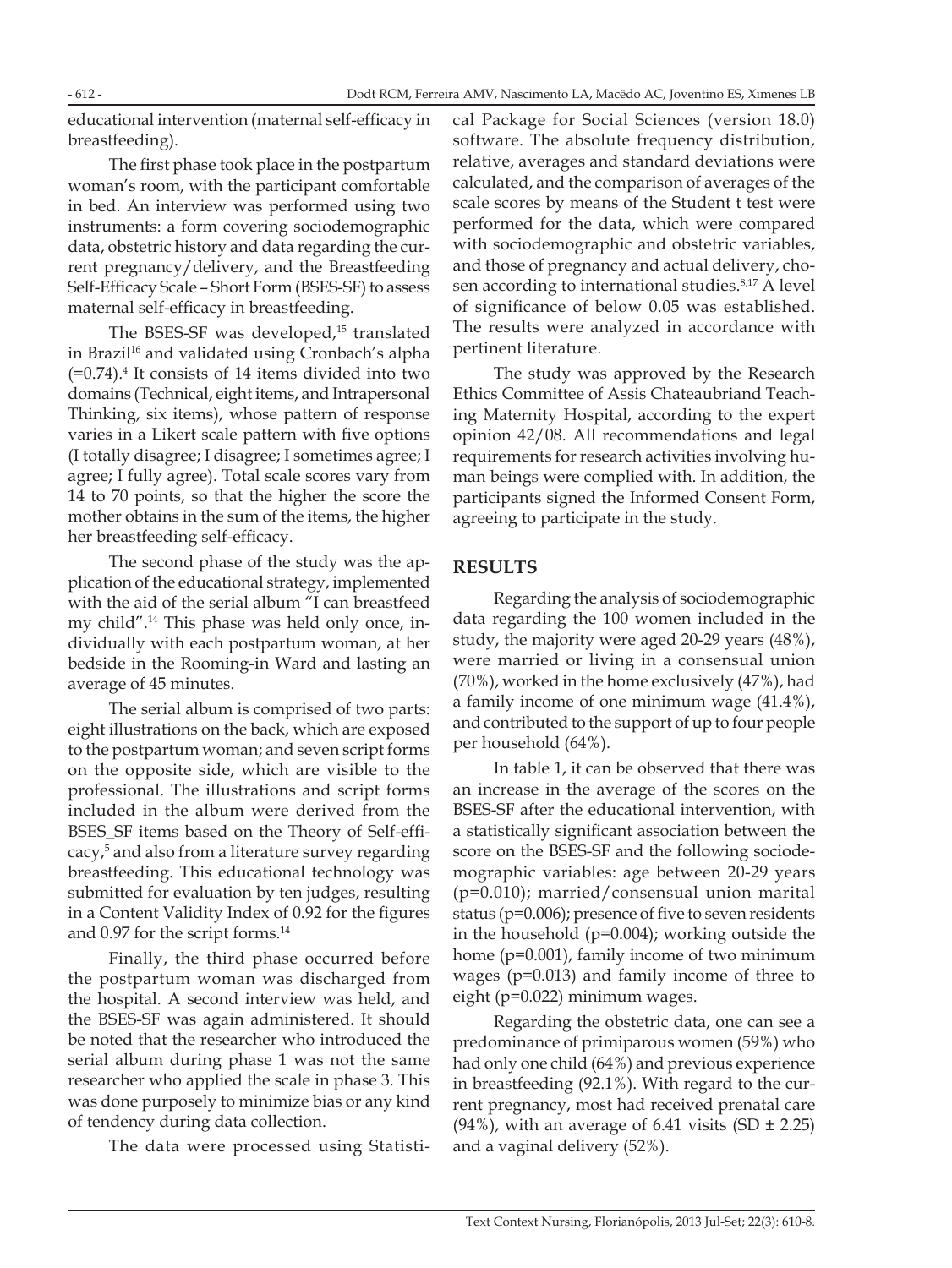Dodt RCM, Ferreira AMV, Nascimento LA, Macêdo AC, Joventino ES, Ximenes LB

educational intervention (maternal self-efficacy in breastfeeding).

The first phase took place in the postpartum woman's room, with the participant comfortable in bed. An interview was performed using two instruments: a form covering sociodemographic data, obstetric history and data regarding the current pregnancy/delivery, and the Breastfeeding Self-Efficacy Scale – Short Form (BSES-SF) to assess maternal self-efficacy in breastfeeding.

The BSES-SF was developed,<sup>15</sup> translated in Brazil<sup>16</sup> and validated using Cronbach's alpha  $(=0.74)$ .<sup>4</sup> It consists of 14 items divided into two domains (Technical, eight items, and Intrapersonal Thinking, six items), whose pattern of response varies in a Likert scale pattern with five options (I totally disagree; I disagree; I sometimes agree; I agree; I fully agree). Total scale scores vary from 14 to 70 points, so that the higher the score the mother obtains in the sum of the items, the higher her breastfeeding self-efficacy.

The second phase of the study was the application of the educational strategy, implemented with the aid of the serial album "I can breastfeed my child".14 This phase was held only once, individually with each postpartum woman, at her bedside in the Rooming-in Ward and lasting an average of 45 minutes.

The serial album is comprised of two parts: eight illustrations on the back, which are exposed to the postpartum woman; and seven script forms on the opposite side, which are visible to the professional. The illustrations and script forms included in the album were derived from the BSES\_SF items based on the Theory of Self-efficacy,<sup>5</sup> and also from a literature survey regarding breastfeeding. This educational technology was submitted for evaluation by ten judges, resulting in a Content Validity Index of 0.92 for the figures and 0.97 for the script forms.<sup>14</sup>

Finally, the third phase occurred before the postpartum woman was discharged from the hospital. A second interview was held, and the BSES-SF was again administered. It should be noted that the researcher who introduced the serial album during phase 1 was not the same researcher who applied the scale in phase 3. This was done purposely to minimize bias or any kind of tendency during data collection.

The data were processed using Statisti-

cal Package for Social Sciences (version 18.0) software. The absolute frequency distribution, relative, averages and standard deviations were calculated, and the comparison of averages of the scale scores by means of the Student t test were performed for the data, which were compared with sociodemographic and obstetric variables, and those of pregnancy and actual delivery, chosen according to international studies.<sup>8,17</sup> A level of significance of below 0.05 was established. The results were analyzed in accordance with pertinent literature.

The study was approved by the Research Ethics Committee of Assis Chateaubriand Teaching Maternity Hospital, according to the expert opinion 42/08. All recommendations and legal requirements for research activities involving human beings were complied with. In addition, the participants signed the Informed Consent Form, agreeing to participate in the study.

### **RESULTS**

Regarding the analysis of sociodemographic data regarding the 100 women included in the study, the majority were aged 20-29 years (48%), were married or living in a consensual union (70%), worked in the home exclusively (47%), had a family income of one minimum wage (41.4%), and contributed to the support of up to four people per household (64%).

In table 1, it can be observed that there was an increase in the average of the scores on the BSES-SF after the educational intervention, with a statistically significant association between the score on the BSES-SF and the following sociodemographic variables: age between 20-29 years (p=0.010); married/consensual union marital status (p=0.006); presence of five to seven residents in the household (p=0.004); working outside the home (p=0.001), family income of two minimum wages (p=0.013) and family income of three to eight (p=0.022) minimum wages.

Regarding the obstetric data, one can see a predominance of primiparous women (59%) who had only one child (64%) and previous experience in breastfeeding (92.1%). With regard to the current pregnancy, most had received prenatal care  $(94\%)$ , with an average of 6.41 visits  $(SD \pm 2.25)$ and a vaginal delivery (52%).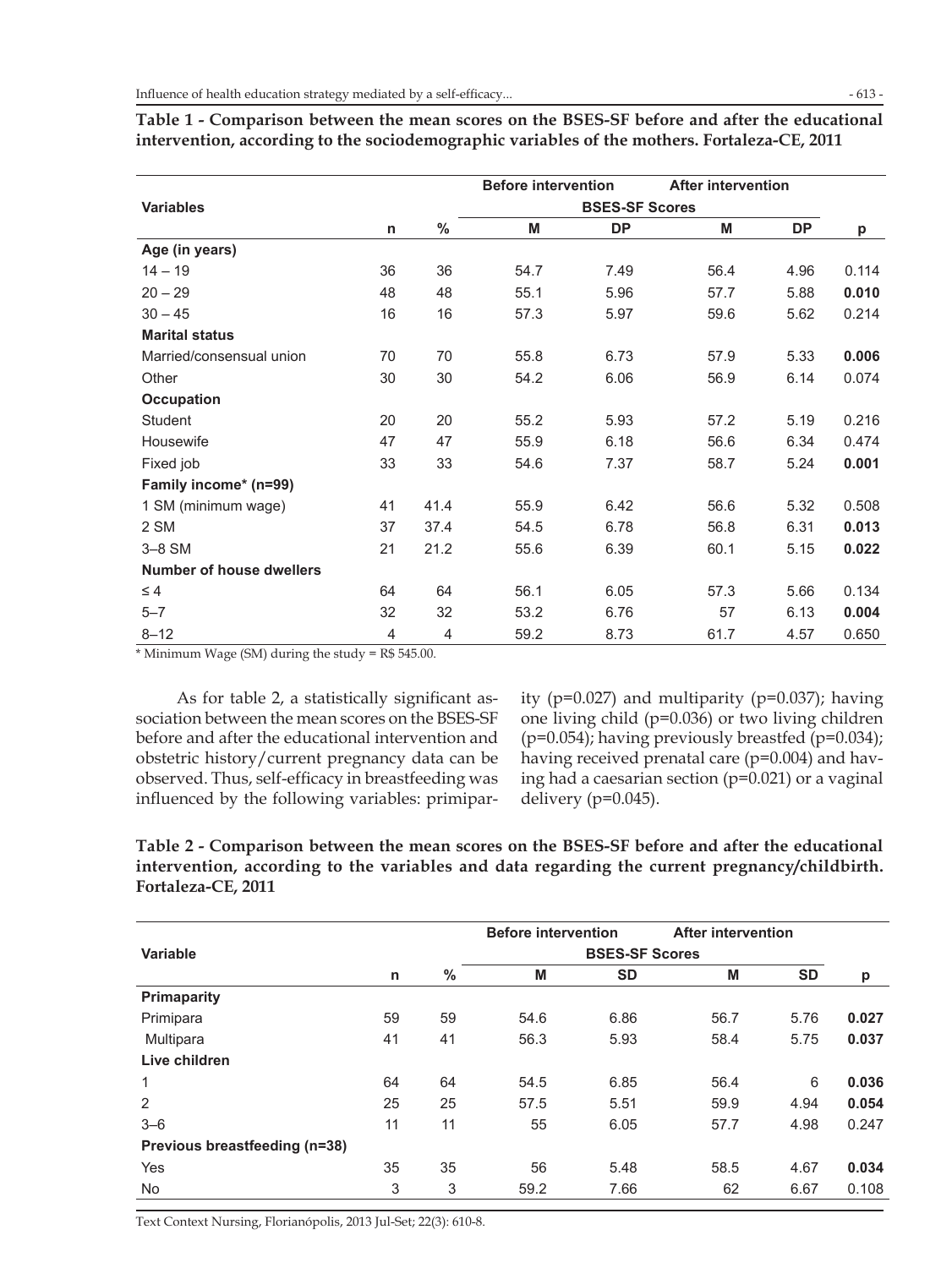|                                 |                |      | <b>Before intervention</b> |           | <b>After intervention</b> |           |       |  |
|---------------------------------|----------------|------|----------------------------|-----------|---------------------------|-----------|-------|--|
| <b>Variables</b>                |                |      | <b>BSES-SF Scores</b>      |           |                           |           |       |  |
|                                 | n              | $\%$ | M                          | <b>DP</b> | M                         | <b>DP</b> | р     |  |
| Age (in years)                  |                |      |                            |           |                           |           |       |  |
| $14 - 19$                       | 36             | 36   | 54.7                       | 7.49      | 56.4                      | 4.96      | 0.114 |  |
| $20 - 29$                       | 48             | 48   | 55.1                       | 5.96      | 57.7                      | 5.88      | 0.010 |  |
| $30 - 45$                       | 16             | 16   | 57.3                       | 5.97      | 59.6                      | 5.62      | 0.214 |  |
| <b>Marital status</b>           |                |      |                            |           |                           |           |       |  |
| Married/consensual union        | 70             | 70   | 55.8                       | 6.73      | 57.9                      | 5.33      | 0.006 |  |
| Other                           | 30             | 30   | 54.2                       | 6.06      | 56.9                      | 6.14      | 0.074 |  |
| <b>Occupation</b>               |                |      |                            |           |                           |           |       |  |
| <b>Student</b>                  | 20             | 20   | 55.2                       | 5.93      | 57.2                      | 5.19      | 0.216 |  |
| Housewife                       | 47             | 47   | 55.9                       | 6.18      | 56.6                      | 6.34      | 0.474 |  |
| Fixed job                       | 33             | 33   | 54.6                       | 7.37      | 58.7                      | 5.24      | 0.001 |  |
| Family income* (n=99)           |                |      |                            |           |                           |           |       |  |
| 1 SM (minimum wage)             | 41             | 41.4 | 55.9                       | 6.42      | 56.6                      | 5.32      | 0.508 |  |
| 2 SM                            | 37             | 37.4 | 54.5                       | 6.78      | 56.8                      | 6.31      | 0.013 |  |
| $3-8$ SM                        | 21             | 21.2 | 55.6                       | 6.39      | 60.1                      | 5.15      | 0.022 |  |
| <b>Number of house dwellers</b> |                |      |                            |           |                           |           |       |  |
| $\leq 4$                        | 64             | 64   | 56.1                       | 6.05      | 57.3                      | 5.66      | 0.134 |  |
| $5 - 7$                         | 32             | 32   | 53.2                       | 6.76      | 57                        | 6.13      | 0.004 |  |
| $8 - 12$                        | $\overline{4}$ | 4    | 59.2                       | 8.73      | 61.7                      | 4.57      | 0.650 |  |

**Table 1 - Comparison between the mean scores on the BSES-SF before and after the educational intervention, according to the sociodemographic variables of the mothers. Fortaleza-CE, 2011**

\* Minimum Wage (SM) during the study = R\$ 545.00.

As for table 2, a statistically significant association between the mean scores on the BSES-SF before and after the educational intervention and obstetric history/current pregnancy data can be observed. Thus, self-efficacy in breastfeeding was influenced by the following variables: primiparity (p=0.027) and multiparity (p=0.037); having one living child (p=0.036) or two living children  $(p=0.054)$ ; having previously breastfed  $(p=0.034)$ ; having received prenatal care (p=0.004) and having had a caesarian section (p=0.021) or a vaginal delivery (p=0.045).

**Table 2 - Comparison between the mean scores on the BSES-SF before and after the educational intervention, according to the variables and data regarding the current pregnancy/childbirth. Fortaleza-CE, 2011**

|                               |    |      | <b>Before intervention</b> |           | <b>After intervention</b> |           |       |
|-------------------------------|----|------|----------------------------|-----------|---------------------------|-----------|-------|
| Variable                      |    |      | <b>BSES-SF Scores</b>      |           |                           |           |       |
|                               | n  | $\%$ | M                          | <b>SD</b> | M                         | <b>SD</b> | p     |
| <b>Primaparity</b>            |    |      |                            |           |                           |           |       |
| Primipara                     | 59 | 59   | 54.6                       | 6.86      | 56.7                      | 5.76      | 0.027 |
| Multipara                     | 41 | 41   | 56.3                       | 5.93      | 58.4                      | 5.75      | 0.037 |
| Live children                 |    |      |                            |           |                           |           |       |
| 1                             | 64 | 64   | 54.5                       | 6.85      | 56.4                      | 6         | 0.036 |
| 2                             | 25 | 25   | 57.5                       | 5.51      | 59.9                      | 4.94      | 0.054 |
| $3 - 6$                       | 11 | 11   | 55                         | 6.05      | 57.7                      | 4.98      | 0.247 |
| Previous breastfeeding (n=38) |    |      |                            |           |                           |           |       |
| Yes                           | 35 | 35   | 56                         | 5.48      | 58.5                      | 4.67      | 0.034 |
| <b>No</b>                     | 3  | 3    | 59.2                       | 7.66      | 62                        | 6.67      | 0.108 |

Text Context Nursing, Florianópolis, 2013 Jul-Set; 22(3): 610-8.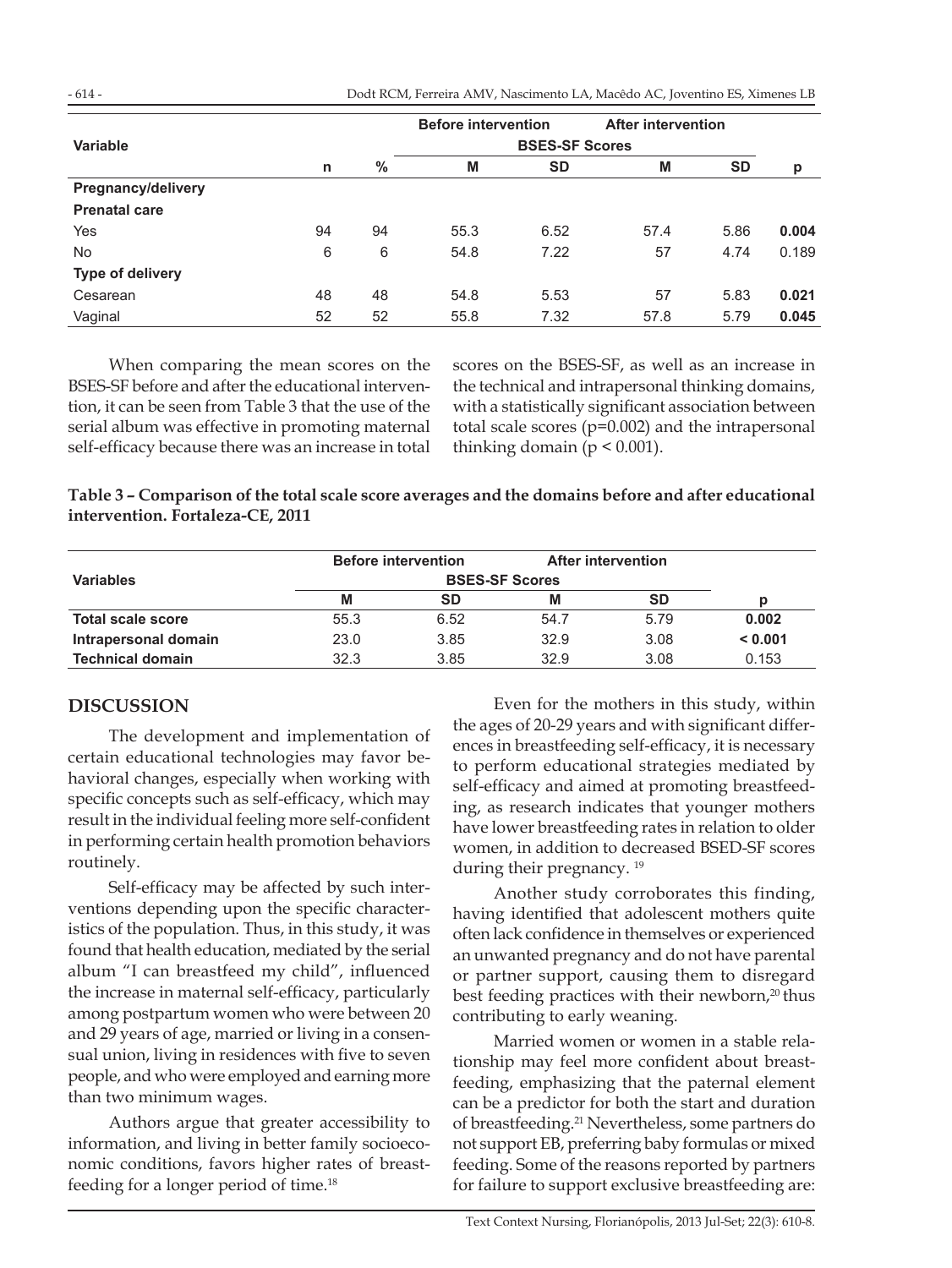Dodt RCM, Ferreira AMV, Nascimento LA, Macêdo AC, Joventino ES, Ximenes LB

|                      |    |    | <b>Before intervention</b> |           | <b>After intervention</b> |           |       |  |
|----------------------|----|----|----------------------------|-----------|---------------------------|-----------|-------|--|
| Variable             |    |    | <b>BSES-SF Scores</b>      |           |                           |           |       |  |
|                      | n  | %  | M                          | <b>SD</b> | M                         | <b>SD</b> | p     |  |
| Pregnancy/delivery   |    |    |                            |           |                           |           |       |  |
| <b>Prenatal care</b> |    |    |                            |           |                           |           |       |  |
| Yes                  | 94 | 94 | 55.3                       | 6.52      | 57.4                      | 5.86      | 0.004 |  |
| <b>No</b>            | 6  | 6  | 54.8                       | 7.22      | 57                        | 4.74      | 0.189 |  |
| Type of delivery     |    |    |                            |           |                           |           |       |  |
| Cesarean             | 48 | 48 | 54.8                       | 5.53      | 57                        | 5.83      | 0.021 |  |
| Vaginal              | 52 | 52 | 55.8                       | 7.32      | 57.8                      | 5.79      | 0.045 |  |

When comparing the mean scores on the BSES-SF before and after the educational intervention, it can be seen from Table 3 that the use of the serial album was effective in promoting maternal self-efficacy because there was an increase in total scores on the BSES-SF, as well as an increase in the technical and intrapersonal thinking domains, with a statistically significant association between total scale scores (p=0.002) and the intrapersonal thinking domain ( $p \leq 0.001$ ).

| Table 3 – Comparison of the total scale score averages and the domains before and after educational |
|-----------------------------------------------------------------------------------------------------|
| intervention. Fortaleza-CE, 2011                                                                    |

|                          |      | <b>Before intervention</b> | After intervention |           |         |
|--------------------------|------|----------------------------|--------------------|-----------|---------|
| <b>Variables</b>         |      |                            |                    |           |         |
|                          | M    | SD                         | M                  | <b>SD</b> | n       |
| <b>Total scale score</b> | 55.3 | 6.52                       | 54.7               | 5.79      | 0.002   |
| Intrapersonal domain     | 23.0 | 3.85                       | 32.9               | 3.08      | < 0.001 |
| <b>Technical domain</b>  | 32.3 | 3.85                       | 32.9               | 3.08      | 0.153   |

### **DISCUSSION**

The development and implementation of certain educational technologies may favor behavioral changes, especially when working with specific concepts such as self-efficacy, which may result in the individual feeling more self-confident in performing certain health promotion behaviors routinely.

Self-efficacy may be affected by such interventions depending upon the specific characteristics of the population. Thus, in this study, it was found that health education, mediated by the serial album "I can breastfeed my child", influenced the increase in maternal self-efficacy, particularly among postpartum women who were between 20 and 29 years of age, married or living in a consensual union, living in residences with five to seven people, and who were employed and earning more than two minimum wages.

Authors argue that greater accessibility to information, and living in better family socioeconomic conditions, favors higher rates of breastfeeding for a longer period of time.<sup>18</sup>

Even for the mothers in this study, within the ages of 20-29 years and with significant differences in breastfeeding self-efficacy, it is necessary to perform educational strategies mediated by self-efficacy and aimed at promoting breastfeeding, as research indicates that younger mothers have lower breastfeeding rates in relation to older women, in addition to decreased BSED-SF scores during their pregnancy.<sup>19</sup>

Another study corroborates this finding, having identified that adolescent mothers quite often lack confidence in themselves or experienced an unwanted pregnancy and do not have parental or partner support, causing them to disregard best feeding practices with their newborn,<sup>20</sup> thus contributing to early weaning.

Married women or women in a stable relationship may feel more confident about breastfeeding, emphasizing that the paternal element can be a predictor for both the start and duration of breastfeeding.21 Nevertheless, some partners do not support EB, preferring baby formulas or mixed feeding. Some of the reasons reported by partners for failure to support exclusive breastfeeding are: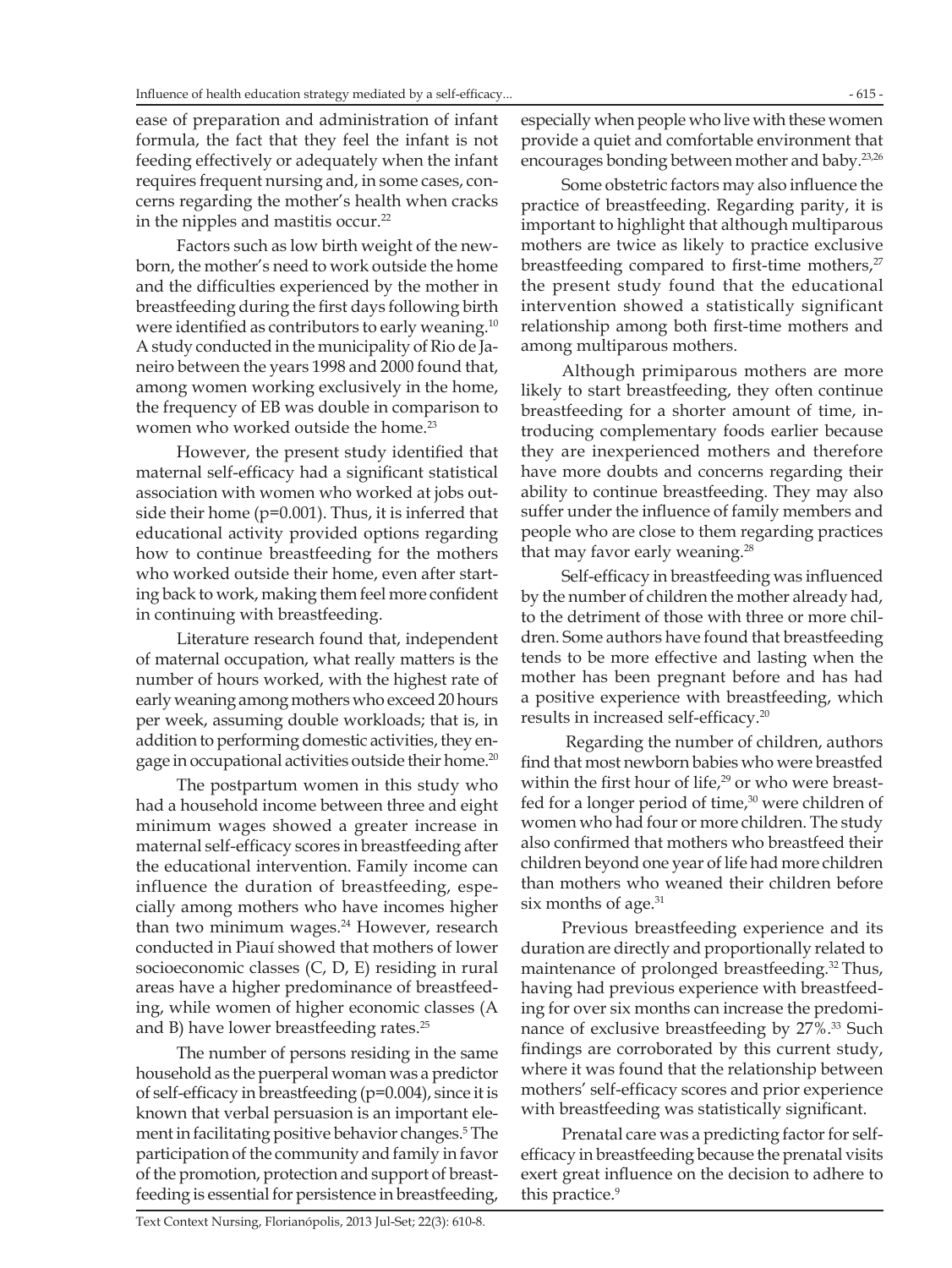ease of preparation and administration of infant formula, the fact that they feel the infant is not feeding effectively or adequately when the infant requires frequent nursing and, in some cases, concerns regarding the mother's health when cracks in the nipples and mastitis occur.<sup>22</sup>

Factors such as low birth weight of the newborn, the mother's need to work outside the home and the difficulties experienced by the mother in breastfeeding during the first days following birth were identified as contributors to early weaning.<sup>10</sup> A study conducted in the municipality of Rio de Janeiro between the years 1998 and 2000 found that, among women working exclusively in the home, the frequency of EB was double in comparison to women who worked outside the home.<sup>23</sup>

However, the present study identified that maternal self-efficacy had a significant statistical association with women who worked at jobs outside their home (p=0.001). Thus, it is inferred that educational activity provided options regarding how to continue breastfeeding for the mothers who worked outside their home, even after starting back to work, making them feel more confident in continuing with breastfeeding.

Literature research found that, independent of maternal occupation, what really matters is the number of hours worked, with the highest rate of early weaning among mothers who exceed 20 hours per week, assuming double workloads; that is, in addition to performing domestic activities, they engage in occupational activities outside their home.<sup>20</sup>

The postpartum women in this study who had a household income between three and eight minimum wages showed a greater increase in maternal self-efficacy scores in breastfeeding after the educational intervention. Family income can influence the duration of breastfeeding, especially among mothers who have incomes higher than two minimum wages.<sup>24</sup> However, research conducted in Piauí showed that mothers of lower socioeconomic classes (C, D, E) residing in rural areas have a higher predominance of breastfeeding, while women of higher economic classes (A and B) have lower breastfeeding rates.<sup>25</sup>

The number of persons residing in the same household as the puerperal woman was a predictor of self-efficacy in breastfeeding (p=0.004), since it is known that verbal persuasion is an important element in facilitating positive behavior changes.5 The participation of the community and family in favor of the promotion, protection and support of breastfeeding is essential for persistence in breastfeeding,

especially when people who live with these women provide a quiet and comfortable environment that encourages bonding between mother and baby.23,26

Some obstetric factors may also influence the practice of breastfeeding. Regarding parity, it is important to highlight that although multiparous mothers are twice as likely to practice exclusive breastfeeding compared to first-time mothers, $27$ the present study found that the educational intervention showed a statistically significant relationship among both first-time mothers and among multiparous mothers.

Although primiparous mothers are more likely to start breastfeeding, they often continue breastfeeding for a shorter amount of time, introducing complementary foods earlier because they are inexperienced mothers and therefore have more doubts and concerns regarding their ability to continue breastfeeding. They may also suffer under the influence of family members and people who are close to them regarding practices that may favor early weaning.<sup>28</sup>

Self-efficacy in breastfeeding was influenced by the number of children the mother already had, to the detriment of those with three or more children. Some authors have found that breastfeeding tends to be more effective and lasting when the mother has been pregnant before and has had a positive experience with breastfeeding, which results in increased self-efficacy.<sup>20</sup>

 Regarding the number of children, authors find that most newborn babies who were breastfed within the first hour of life,<sup>29</sup> or who were breastfed for a longer period of time, $30$  were children of women who had four or more children. The study also confirmed that mothers who breastfeed their children beyond one year of life had more children than mothers who weaned their children before six months of age. $31$ 

Previous breastfeeding experience and its duration are directly and proportionally related to maintenance of prolonged breastfeeding.<sup>32</sup> Thus, having had previous experience with breastfeeding for over six months can increase the predominance of exclusive breastfeeding by 27%.33 Such findings are corroborated by this current study, where it was found that the relationship between mothers' self-efficacy scores and prior experience with breastfeeding was statistically significant.

Prenatal care was a predicting factor for selfefficacy in breastfeeding because the prenatal visits exert great influence on the decision to adhere to this practice.<sup>9</sup>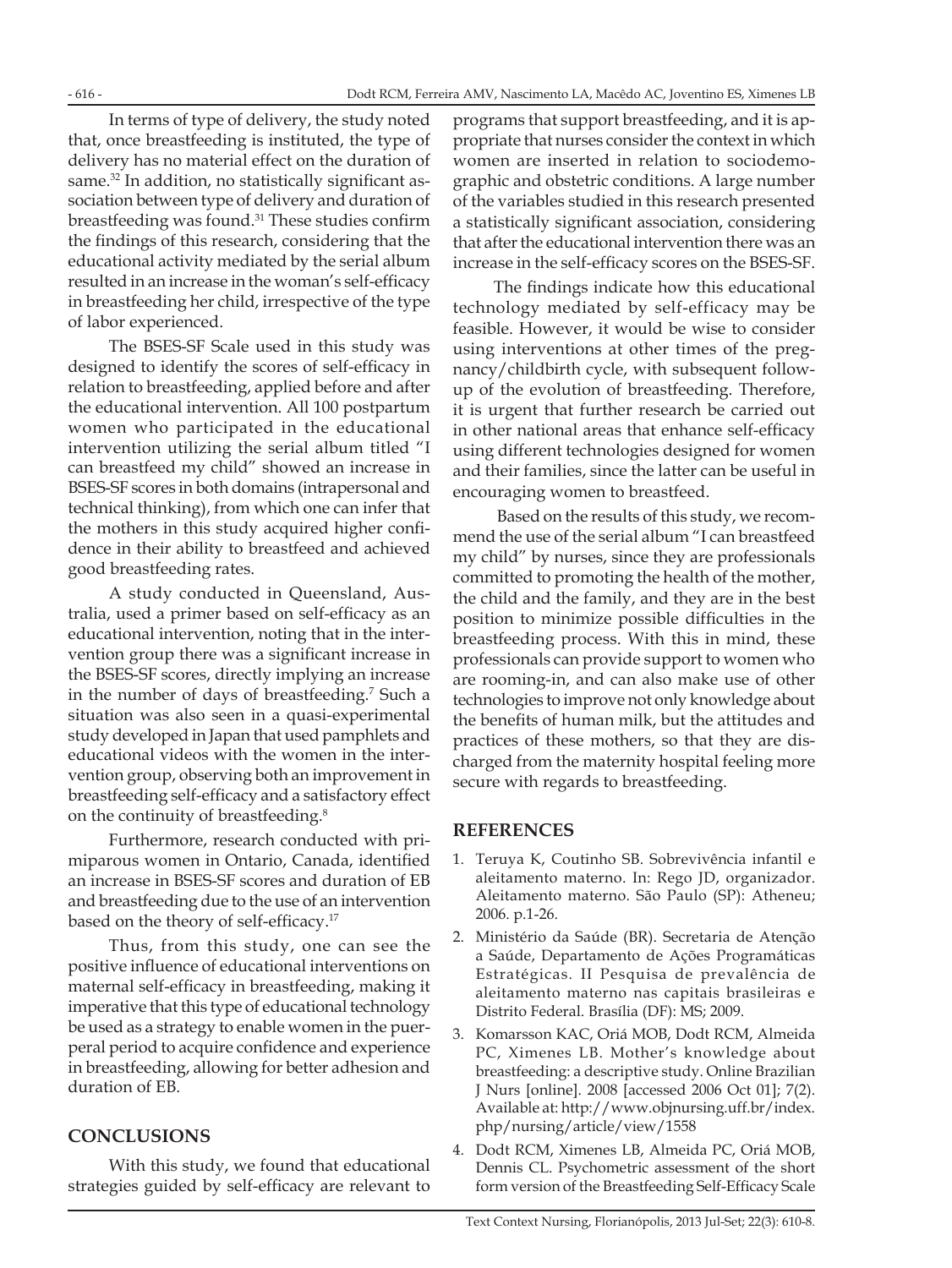Dodt RCM, Ferreira AMV, Nascimento LA, Macêdo AC, Joventino ES, Ximenes LB

In terms of type of delivery, the study noted that, once breastfeeding is instituted, the type of delivery has no material effect on the duration of same.<sup>32</sup> In addition, no statistically significant association between type of delivery and duration of breastfeeding was found.<sup>31</sup> These studies confirm the findings of this research, considering that the educational activity mediated by the serial album resulted in an increase in the woman's self-efficacy in breastfeeding her child, irrespective of the type of labor experienced.

The BSES-SF Scale used in this study was designed to identify the scores of self-efficacy in relation to breastfeeding, applied before and after the educational intervention. All 100 postpartum women who participated in the educational intervention utilizing the serial album titled "I can breastfeed my child" showed an increase in BSES-SF scores in both domains (intrapersonal and technical thinking), from which one can infer that the mothers in this study acquired higher confidence in their ability to breastfeed and achieved good breastfeeding rates.

A study conducted in Queensland, Australia, used a primer based on self-efficacy as an educational intervention, noting that in the intervention group there was a significant increase in the BSES-SF scores, directly implying an increase in the number of days of breastfeeding.7 Such a situation was also seen in a quasi-experimental study developed in Japan that used pamphlets and educational videos with the women in the intervention group, observing both an improvement in breastfeeding self-efficacy and a satisfactory effect on the continuity of breastfeeding.8

Furthermore, research conducted with primiparous women in Ontario, Canada, identified an increase in BSES-SF scores and duration of EB and breastfeeding due to the use of an intervention based on the theory of self-efficacy.17

Thus, from this study, one can see the positive influence of educational interventions on maternal self-efficacy in breastfeeding, making it imperative that this type of educational technology be used as a strategy to enable women in the puerperal period to acquire confidence and experience in breastfeeding, allowing for better adhesion and duration of EB.

### **CONCLUSIONS**

With this study, we found that educational strategies guided by self-efficacy are relevant to programs that support breastfeeding, and it is appropriate that nurses consider the context in which women are inserted in relation to sociodemographic and obstetric conditions. A large number of the variables studied in this research presented a statistically significant association, considering that after the educational intervention there was an increase in the self-efficacy scores on the BSES-SF.

The findings indicate how this educational technology mediated by self-efficacy may be feasible. However, it would be wise to consider using interventions at other times of the pregnancy/childbirth cycle, with subsequent followup of the evolution of breastfeeding. Therefore, it is urgent that further research be carried out in other national areas that enhance self-efficacy using different technologies designed for women and their families, since the latter can be useful in encouraging women to breastfeed.

 Based on the results of this study, we recommend the use of the serial album "I can breastfeed my child" by nurses, since they are professionals committed to promoting the health of the mother, the child and the family, and they are in the best position to minimize possible difficulties in the breastfeeding process. With this in mind, these professionals can provide support to women who are rooming-in, and can also make use of other technologies to improve not only knowledge about the benefits of human milk, but the attitudes and practices of these mothers, so that they are discharged from the maternity hospital feeling more secure with regards to breastfeeding.

### **REFERENCES**

- 1. Teruya K, Coutinho SB. Sobrevivência infantil e aleitamento materno. In: Rego JD, organizador. Aleitamento materno. São Paulo (SP): Atheneu; 2006. p.1-26.
- 2. Ministério da Saúde (BR). Secretaria de Atenção a Saúde, Departamento de Ações Programáticas Estratégicas. II Pesquisa de prevalência de aleitamento materno nas capitais brasileiras e Distrito Federal. Brasília (DF): MS; 2009.
- 3. Komarsson KAC, Oriá MOB, Dodt RCM, Almeida PC, Ximenes LB. Mother's knowledge about breastfeeding: a descriptive study. Online Brazilian J Nurs [online]. 2008 [accessed 2006 Oct 01]; 7(2). Available at: http://www.objnursing.uff.br/index. php/nursing/article/view/1558
- 4. Dodt RCM, Ximenes LB, Almeida PC, Oriá MOB, Dennis CL. Psychometric assessment of the short form version of the Breastfeeding Self-Efficacy Scale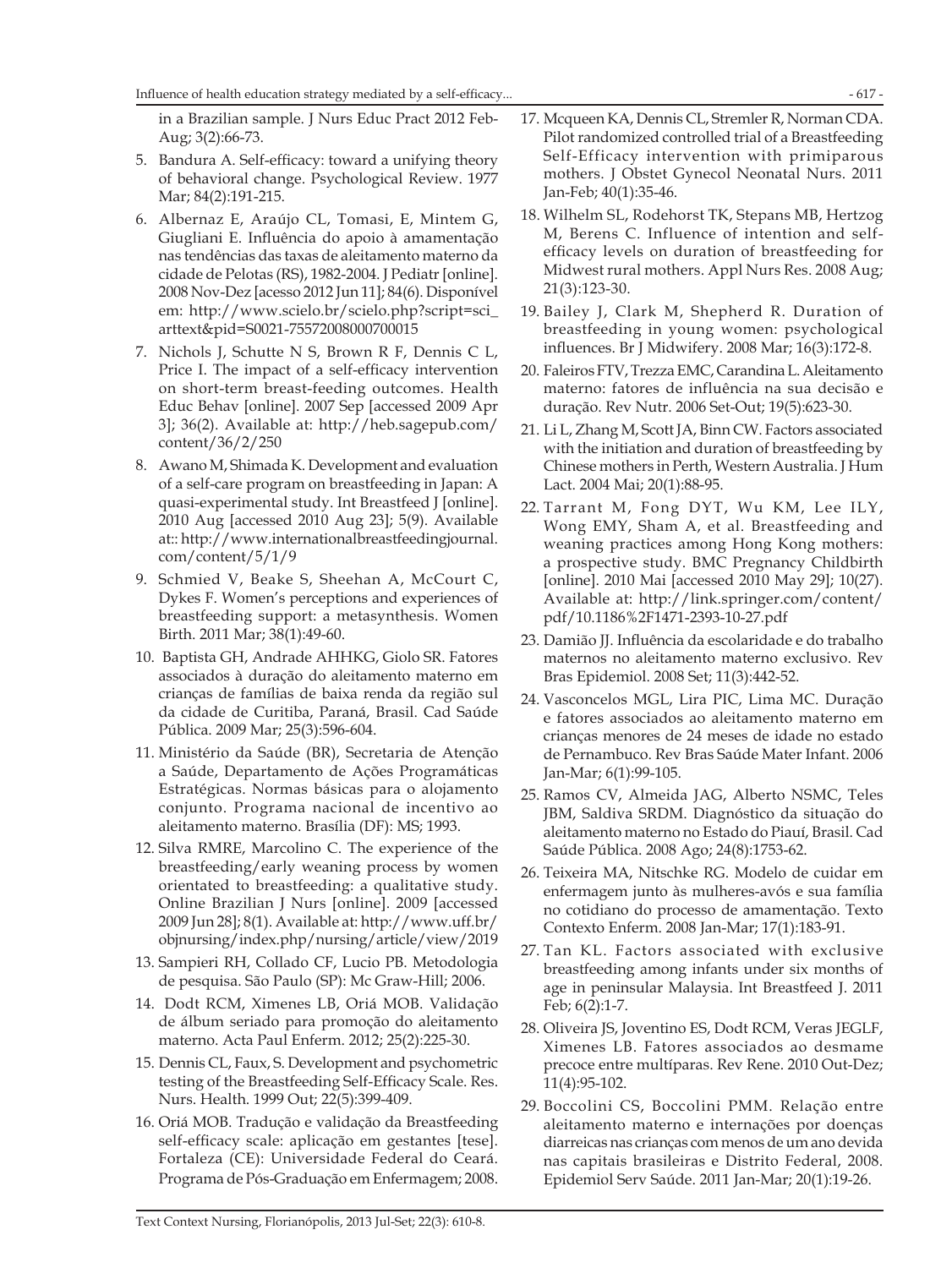in a Brazilian sample. J Nurs Educ Pract 2012 Feb-Aug; 3(2):66-73.

- 5. Bandura A. Self-efficacy: toward a unifying theory of behavioral change. Psychological Review. 1977 Mar; 84(2):191-215.
- 6. Albernaz E, Araújo CL, Tomasi, E, Mintem G, Giugliani E. Influência do apoio à amamentação nas tendências das taxas de aleitamento materno da cidade de Pelotas (RS), 1982-2004. J Pediatr [online]. 2008 Nov-Dez [acesso 2012 Jun 11]; 84(6). Disponível em: http://www.scielo.br/scielo.php?script=sci\_ arttext&pid=S0021-75572008000700015
- 7. Nichols J, Schutte N S, Brown R F, Dennis C L, Price I. The impact of a self-efficacy intervention on short-term breast-feeding outcomes. Health Educ Behav [online]. 2007 Sep [accessed 2009 Apr 3]; 36(2). Available at: http://heb.sagepub.com/ content/36/2/250
- 8. Awano M, Shimada K. Development and evaluation of a self-care program on breastfeeding in Japan: A quasi-experimental study. Int Breastfeed J [online]. 2010 Aug [accessed 2010 Aug 23]; 5(9). Available at:: http://www.internationalbreastfeedingjournal. com/content/5/1/9
- 9. Schmied V, Beake S, Sheehan A, McCourt C, Dykes F. Women's perceptions and experiences of breastfeeding support: a metasynthesis. Women Birth. 2011 Mar; 38(1):49-60.
- 10. Baptista GH, Andrade AHHKG, Giolo SR. Fatores associados à duração do aleitamento materno em crianças de famílias de baixa renda da região sul da cidade de Curitiba, Paraná, Brasil. Cad Saúde Pública. 2009 Mar; 25(3):596-604.
- 11. Ministério da Saúde (BR), Secretaria de Atenção a Saúde, Departamento de Ações Programáticas Estratégicas. Normas básicas para o alojamento conjunto. Programa nacional de incentivo ao aleitamento materno. Brasília (DF): MS; 1993.
- 12. Silva RMRE, Marcolino C. The experience of the breastfeeding/early weaning process by women orientated to breastfeeding: a qualitative study. Online Brazilian J Nurs [online]. 2009 [accessed 2009 Jun 28]; 8(1). Available at: http://www.uff.br/ objnursing/index.php/nursing/article/view/2019
- 13. Sampieri RH, Collado CF, Lucio PB. Metodologia de pesquisa. São Paulo (SP): Mc Graw-Hill; 2006.
- 14. Dodt RCM, Ximenes LB, Oriá MOB. Validação de álbum seriado para promoção do aleitamento materno. Acta Paul Enferm. 2012; 25(2):225-30.
- 15. Dennis CL, Faux, S. Development and psychometric testing of the Breastfeeding Self-Efficacy Scale. Res. Nurs. Health. 1999 Out; 22(5):399-409.
- 16. Oriá MOB. Tradução e validação da Breastfeeding self-efficacy scale: aplicação em gestantes [tese]. Fortaleza (CE): Universidade Federal do Ceará. Programa de Pós-Graduação em Enfermagem; 2008.
- 17. Mcqueen KA, Dennis CL, Stremler R, Norman CDA. Pilot randomized controlled trial of a Breastfeeding Self-Efficacy intervention with primiparous mothers. J Obstet Gynecol Neonatal Nurs. 2011 Jan-Feb; 40(1):35-46.
- 18. Wilhelm SL, Rodehorst TK, Stepans MB, Hertzog M, Berens C. Influence of intention and selfefficacy levels on duration of breastfeeding for Midwest rural mothers. Appl Nurs Res. 2008 Aug; 21(3):123-30.
- 19. Bailey J, Clark M, Shepherd R. Duration of breastfeeding in young women: psychological influences. Br J Midwifery. 2008 Mar; 16(3):172-8.
- 20. Faleiros FTV, Trezza EMC, Carandina L. Aleitamento materno: fatores de influência na sua decisão e duração. Rev Nutr. 2006 Set-Out; 19(5):623-30.
- 21. Li L, Zhang M, Scott JA, Binn CW. Factors associated with the initiation and duration of breastfeeding by Chinese mothers in Perth, Western Australia. J Hum Lact. 2004 Mai; 20(1):88-95.
- 22. Tarrant M, Fong DYT, Wu KM, Lee ILY, Wong EMY, Sham A, et al. Breastfeeding and weaning practices among Hong Kong mothers: a prospective study. BMC Pregnancy Childbirth [online]. 2010 Mai [accessed 2010 May 29]; 10(27). Available at: http://link.springer.com/content/ pdf/10.1186%2F1471-2393-10-27.pdf
- 23. Damião JJ. Influência da escolaridade e do trabalho maternos no aleitamento materno exclusivo. Rev Bras Epidemiol. 2008 Set; 11(3):442-52.
- 24. Vasconcelos MGL, Lira PIC, Lima MC. Duração e fatores associados ao aleitamento materno em crianças menores de 24 meses de idade no estado de Pernambuco. Rev Bras Saúde Mater Infant. 2006 Jan-Mar; 6(1):99-105.
- 25. Ramos CV, Almeida JAG, Alberto NSMC, Teles JBM, Saldiva SRDM. Diagnóstico da situação do aleitamento materno no Estado do Piauí, Brasil. Cad Saúde Pública. 2008 Ago; 24(8):1753-62.
- 26. Teixeira MA, Nitschke RG. Modelo de cuidar em enfermagem junto às mulheres-avós e sua família no cotidiano do processo de amamentação. Texto Contexto Enferm. 2008 Jan-Mar; 17(1):183-91.
- 27. Tan KL. Factors associated with exclusive breastfeeding among infants under six months of age in peninsular Malaysia. Int Breastfeed J. 2011 Feb; 6(2):1-7.
- 28. Oliveira JS, Joventino ES, Dodt RCM, Veras JEGLF, Ximenes LB. Fatores associados ao desmame precoce entre multíparas. Rev Rene. 2010 Out-Dez; 11(4):95-102.
- 29. Boccolini CS, Boccolini PMM. Relação entre aleitamento materno e internações por doenças diarreicas nas crianças com menos de um ano devida nas capitais brasileiras e Distrito Federal, 2008. Epidemiol Serv Saúde. 2011 Jan-Mar; 20(1):19-26.